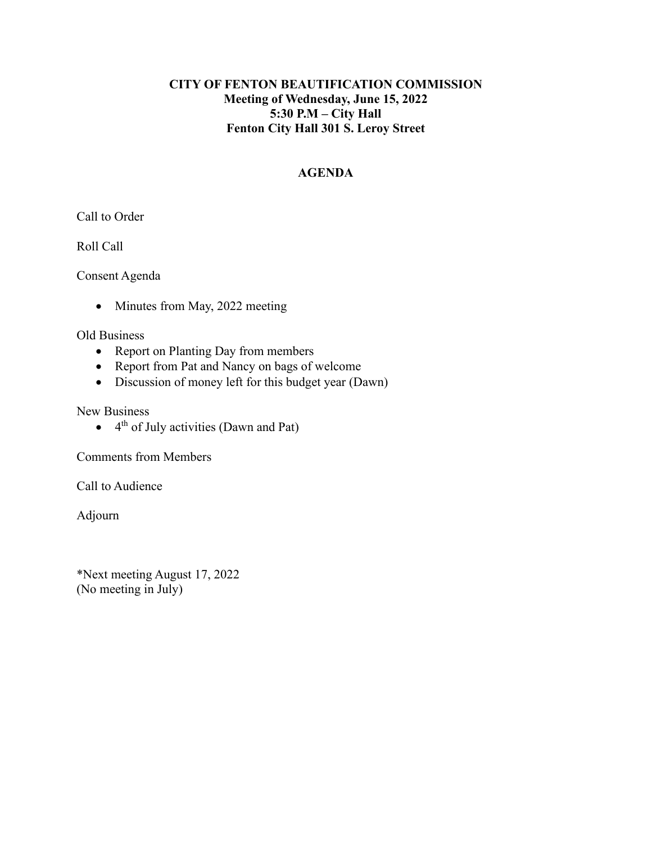# **CITY OF FENTON BEAUTIFICATION COMMISSION Meeting of Wednesday, June 15, 2022 5:30 P.M – City Hall Fenton City Hall 301 S. Leroy Street**

# **AGENDA**

Call to Order

Roll Call

Consent Agenda

• Minutes from May, 2022 meeting

Old Business

- Report on Planting Day from members
- Report from Pat and Nancy on bags of welcome
- Discussion of money left for this budget year (Dawn)

New Business

 $\bullet$  4<sup>th</sup> of July activities (Dawn and Pat)

Comments from Members

Call to Audience

Adjourn

\*Next meeting August 17, 2022 (No meeting in July)